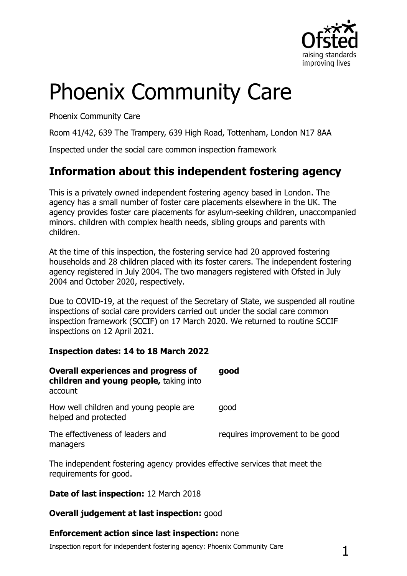

# Phoenix Community Care

Phoenix Community Care

Room 41/42, 639 The Trampery, 639 High Road, Tottenham, London N17 8AA

Inspected under the social care common inspection framework

## **Information about this independent fostering agency**

This is a privately owned independent fostering agency based in London. The agency has a small number of foster care placements elsewhere in the UK. The agency provides foster care placements for asylum-seeking children, unaccompanied minors. children with complex health needs, sibling groups and parents with children.

At the time of this inspection, the fostering service had 20 approved fostering households and 28 children placed with its foster carers. The independent fostering agency registered in July 2004. The two managers registered with Ofsted in July 2004 and October 2020, respectively.

Due to COVID-19, at the request of the Secretary of State, we suspended all routine inspections of social care providers carried out under the social care common inspection framework (SCCIF) on 17 March 2020. We returned to routine SCCIF inspections on 12 April 2021.

#### **Inspection dates: 14 to 18 March 2022**

| <b>Overall experiences and progress of</b><br>children and young people, taking into<br>account | good                            |
|-------------------------------------------------------------------------------------------------|---------------------------------|
| How well children and young people are<br>helped and protected                                  | good                            |
| The effectiveness of leaders and<br>managers                                                    | requires improvement to be good |

The independent fostering agency provides effective services that meet the requirements for good.

#### **Date of last inspection:** 12 March 2018

#### **Overall judgement at last inspection:** good

#### **Enforcement action since last inspection:** none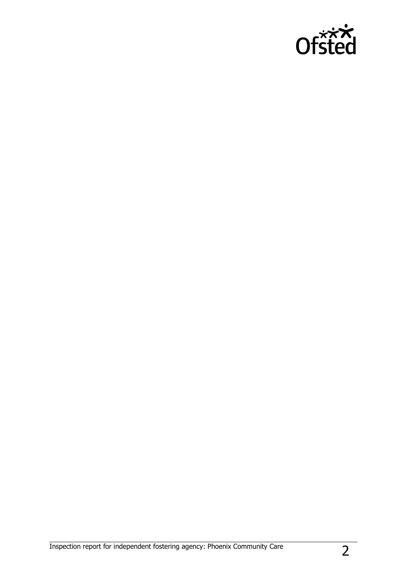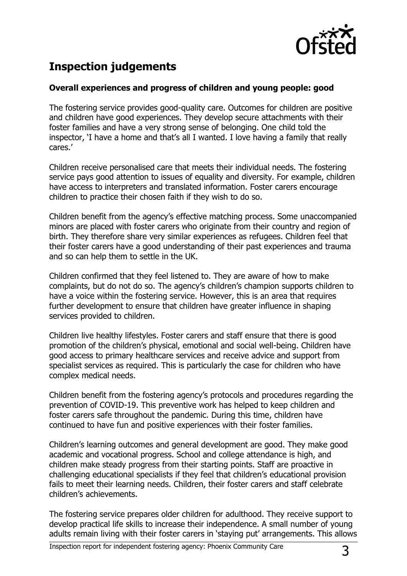

# **Inspection judgements**

#### **Overall experiences and progress of children and young people: good**

The fostering service provides good-quality care. Outcomes for children are positive and children have good experiences. They develop secure attachments with their foster families and have a very strong sense of belonging. One child told the inspector, 'I have a home and that's all I wanted. I love having a family that really cares.'

Children receive personalised care that meets their individual needs. The fostering service pays good attention to issues of equality and diversity. For example, children have access to interpreters and translated information. Foster carers encourage children to practice their chosen faith if they wish to do so.

Children benefit from the agency's effective matching process. Some unaccompanied minors are placed with foster carers who originate from their country and region of birth. They therefore share very similar experiences as refugees. Children feel that their foster carers have a good understanding of their past experiences and trauma and so can help them to settle in the UK.

Children confirmed that they feel listened to. They are aware of how to make complaints, but do not do so. The agency's children's champion supports children to have a voice within the fostering service. However, this is an area that requires further development to ensure that children have greater influence in shaping services provided to children.

Children live healthy lifestyles. Foster carers and staff ensure that there is good promotion of the children's physical, emotional and social well-being. Children have good access to primary healthcare services and receive advice and support from specialist services as required. This is particularly the case for children who have complex medical needs.

Children benefit from the fostering agency's protocols and procedures regarding the prevention of COVID-19. This preventive work has helped to keep children and foster carers safe throughout the pandemic. During this time, children have continued to have fun and positive experiences with their foster families.

Children's learning outcomes and general development are good. They make good academic and vocational progress. School and college attendance is high, and children make steady progress from their starting points. Staff are proactive in challenging educational specialists if they feel that children's educational provision fails to meet their learning needs. Children, their foster carers and staff celebrate children's achievements.

The fostering service prepares older children for adulthood. They receive support to develop practical life skills to increase their independence. A small number of young adults remain living with their foster carers in 'staying put' arrangements. This allows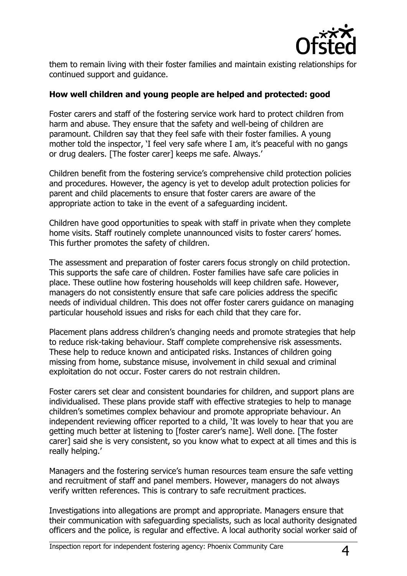

them to remain living with their foster families and maintain existing relationships for continued support and guidance.

#### **How well children and young people are helped and protected: good**

Foster carers and staff of the fostering service work hard to protect children from harm and abuse. They ensure that the safety and well-being of children are paramount. Children say that they feel safe with their foster families. A young mother told the inspector, 'I feel very safe where I am, it's peaceful with no gangs or drug dealers. [The foster carer] keeps me safe. Always.'

Children benefit from the fostering service's comprehensive child protection policies and procedures. However, the agency is yet to develop adult protection policies for parent and child placements to ensure that foster carers are aware of the appropriate action to take in the event of a safeguarding incident.

Children have good opportunities to speak with staff in private when they complete home visits. Staff routinely complete unannounced visits to foster carers' homes. This further promotes the safety of children.

The assessment and preparation of foster carers focus strongly on child protection. This supports the safe care of children. Foster families have safe care policies in place. These outline how fostering households will keep children safe. However, managers do not consistently ensure that safe care policies address the specific needs of individual children. This does not offer foster carers guidance on managing particular household issues and risks for each child that they care for.

Placement plans address children's changing needs and promote strategies that help to reduce risk-taking behaviour. Staff complete comprehensive risk assessments. These help to reduce known and anticipated risks. Instances of children going missing from home, substance misuse, involvement in child sexual and criminal exploitation do not occur. Foster carers do not restrain children.

Foster carers set clear and consistent boundaries for children, and support plans are individualised. These plans provide staff with effective strategies to help to manage children's sometimes complex behaviour and promote appropriate behaviour. An independent reviewing officer reported to a child, 'It was lovely to hear that you are getting much better at listening to [foster carer's name]. Well done. [The foster carer] said she is very consistent, so you know what to expect at all times and this is really helping.'

Managers and the fostering service's human resources team ensure the safe vetting and recruitment of staff and panel members. However, managers do not always verify written references. This is contrary to safe recruitment practices.

Investigations into allegations are prompt and appropriate. Managers ensure that their communication with safeguarding specialists, such as local authority designated officers and the police, is regular and effective. A local authority social worker said of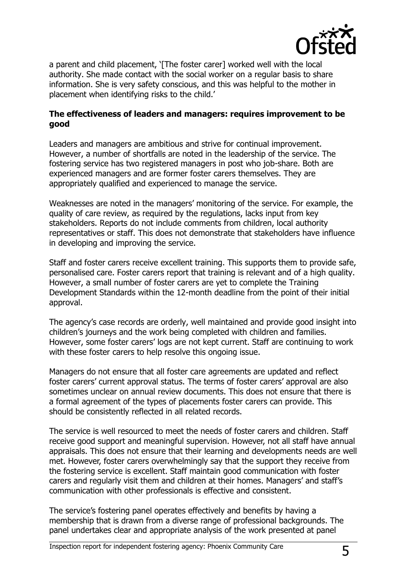

a parent and child placement, '[The foster carer] worked well with the local authority. She made contact with the social worker on a regular basis to share information. She is very safety conscious, and this was helpful to the mother in placement when identifying risks to the child.'

#### **The effectiveness of leaders and managers: requires improvement to be good**

Leaders and managers are ambitious and strive for continual improvement. However, a number of shortfalls are noted in the leadership of the service. The fostering service has two registered managers in post who job-share. Both are experienced managers and are former foster carers themselves. They are appropriately qualified and experienced to manage the service.

Weaknesses are noted in the managers' monitoring of the service. For example, the quality of care review, as required by the regulations, lacks input from key stakeholders. Reports do not include comments from children, local authority representatives or staff. This does not demonstrate that stakeholders have influence in developing and improving the service.

Staff and foster carers receive excellent training. This supports them to provide safe, personalised care. Foster carers report that training is relevant and of a high quality. However, a small number of foster carers are yet to complete the Training Development Standards within the 12-month deadline from the point of their initial approval.

The agency's case records are orderly, well maintained and provide good insight into children's journeys and the work being completed with children and families. However, some foster carers' logs are not kept current. Staff are continuing to work with these foster carers to help resolve this ongoing issue.

Managers do not ensure that all foster care agreements are updated and reflect foster carers' current approval status. The terms of foster carers' approval are also sometimes unclear on annual review documents. This does not ensure that there is a formal agreement of the types of placements foster carers can provide. This should be consistently reflected in all related records.

The service is well resourced to meet the needs of foster carers and children. Staff receive good support and meaningful supervision. However, not all staff have annual appraisals. This does not ensure that their learning and developments needs are well met. However, foster carers overwhelmingly say that the support they receive from the fostering service is excellent. Staff maintain good communication with foster carers and regularly visit them and children at their homes. Managers' and staff's communication with other professionals is effective and consistent.

The service's fostering panel operates effectively and benefits by having a membership that is drawn from a diverse range of professional backgrounds. The panel undertakes clear and appropriate analysis of the work presented at panel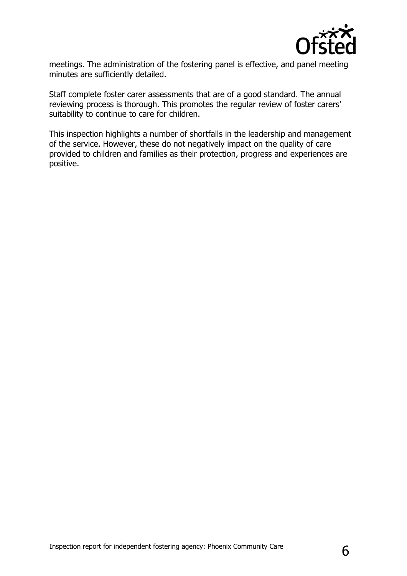

meetings. The administration of the fostering panel is effective, and panel meeting minutes are sufficiently detailed.

Staff complete foster carer assessments that are of a good standard. The annual reviewing process is thorough. This promotes the regular review of foster carers' suitability to continue to care for children.

This inspection highlights a number of shortfalls in the leadership and management of the service. However, these do not negatively impact on the quality of care provided to children and families as their protection, progress and experiences are positive.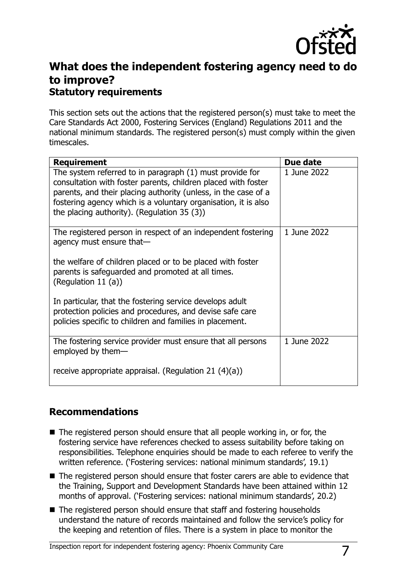

## **What does the independent fostering agency need to do to improve? Statutory requirements**

This section sets out the actions that the registered person(s) must take to meet the Care Standards Act 2000, Fostering Services (England) Regulations 2011 and the national minimum standards. The registered person(s) must comply within the given timescales.

| <b>Requirement</b>                                                                                                                                                                                                                                                                                             | Due date    |
|----------------------------------------------------------------------------------------------------------------------------------------------------------------------------------------------------------------------------------------------------------------------------------------------------------------|-------------|
| The system referred to in paragraph (1) must provide for<br>consultation with foster parents, children placed with foster<br>parents, and their placing authority (unless, in the case of a<br>fostering agency which is a voluntary organisation, it is also<br>the placing authority). (Regulation $35(3)$ ) | 1 June 2022 |
| The registered person in respect of an independent fostering<br>agency must ensure that-                                                                                                                                                                                                                       | 1 June 2022 |
| the welfare of children placed or to be placed with foster<br>parents is safeguarded and promoted at all times.<br>(Regulation 11 $(a)$ )                                                                                                                                                                      |             |
| In particular, that the fostering service develops adult<br>protection policies and procedures, and devise safe care<br>policies specific to children and families in placement.                                                                                                                               |             |
| The fostering service provider must ensure that all persons<br>employed by them-                                                                                                                                                                                                                               | 1 June 2022 |
| receive appropriate appraisal. (Regulation 21 $(4)(a)$ )                                                                                                                                                                                                                                                       |             |

### **Recommendations**

- The registered person should ensure that all people working in, or for, the fostering service have references checked to assess suitability before taking on responsibilities. Telephone enquiries should be made to each referee to verify the written reference. ('Fostering services: national minimum standards', 19.1)
- The registered person should ensure that foster carers are able to evidence that the Training, Support and Development Standards have been attained within 12 months of approval. ('Fostering services: national minimum standards', 20.2)
- The registered person should ensure that staff and fostering households understand the nature of records maintained and follow the service's policy for the keeping and retention of files. There is a system in place to monitor the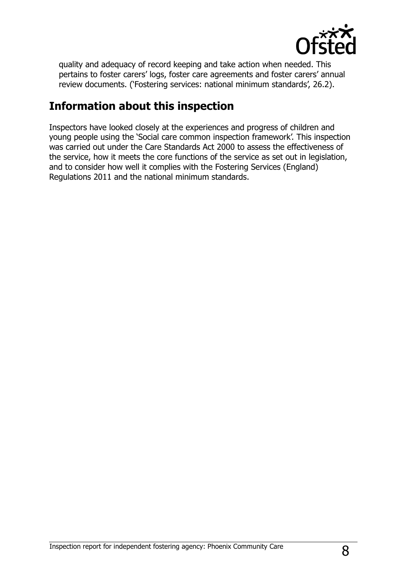

quality and adequacy of record keeping and take action when needed. This pertains to foster carers' logs, foster care agreements and foster carers' annual review documents. ('Fostering services: national minimum standards', 26.2).

## **Information about this inspection**

Inspectors have looked closely at the experiences and progress of children and young people using the 'Social care common inspection framework'. This inspection was carried out under the Care Standards Act 2000 to assess the effectiveness of the service, how it meets the core functions of the service as set out in legislation, and to consider how well it complies with the Fostering Services (England) Regulations 2011 and the national minimum standards.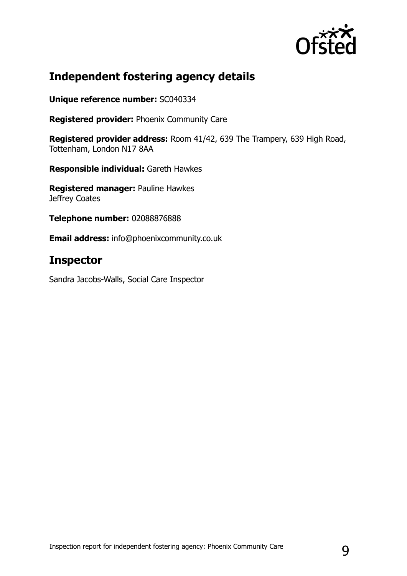

## **Independent fostering agency details**

**Unique reference number:** SC040334

**Registered provider:** Phoenix Community Care

**Registered provider address:** Room 41/42, 639 The Trampery, 639 High Road, Tottenham, London N17 8AA

**Responsible individual:** Gareth Hawkes

**Registered manager:** Pauline Hawkes Jeffrey Coates

**Telephone number:** 02088876888

**Email address:** info@phoenixcommunity.co.uk

## **Inspector**

Sandra Jacobs-Walls, Social Care Inspector